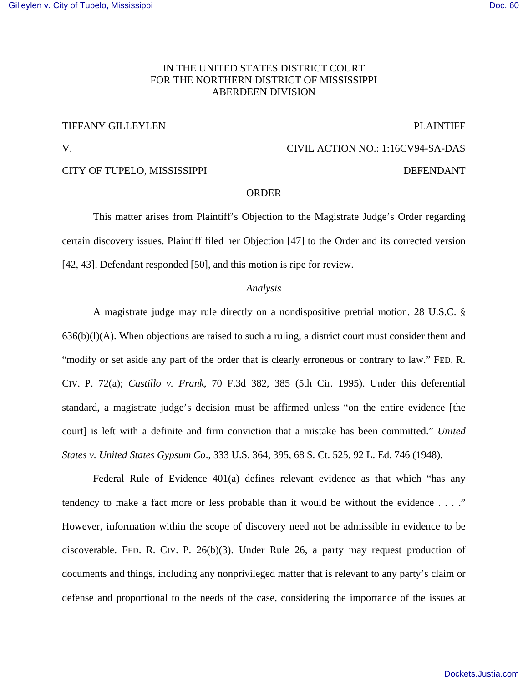## IN THE UNITED STATES DISTRICT COURT FOR THE NORTHERN DISTRICT OF MISSISSIPPI ABERDEEN DIVISION

#### TIFFANY GILLEYLEN PLAINTIFF

V. CIVIL ACTION NO.: 1:16CV94-SA-DAS

## CITY OF TUPELO, MISSISSIPPI DEFENDANT

#### ORDER

 This matter arises from Plaintiff's Objection to the Magistrate Judge's Order regarding certain discovery issues. Plaintiff filed her Objection [47] to the Order and its corrected version [42, 43]. Defendant responded [50], and this motion is ripe for review.

#### *Analysis*

A magistrate judge may rule directly on a nondispositive pretrial motion. 28 U.S.C. §  $636(b)(l)(A)$ . When objections are raised to such a ruling, a district court must consider them and "modify or set aside any part of the order that is clearly erroneous or contrary to law." FED. R. CIV. P. 72(a); *Castillo v. Frank*, 70 F.3d 382, 385 (5th Cir. 1995). Under this deferential standard, a magistrate judge's decision must be affirmed unless "on the entire evidence [the court] is left with a definite and firm conviction that a mistake has been committed." *United States v. United States Gypsum Co*., 333 U.S. 364, 395, 68 S. Ct. 525, 92 L. Ed. 746 (1948).

Federal Rule of Evidence 401(a) defines relevant evidence as that which "has any tendency to make a fact more or less probable than it would be without the evidence . . . ." However, information within the scope of discovery need not be admissible in evidence to be discoverable. FED. R. CIV. P. 26(b)(3). Under Rule 26, a party may request production of documents and things, including any nonprivileged matter that is relevant to any party's claim or defense and proportional to the needs of the case, considering the importance of the issues at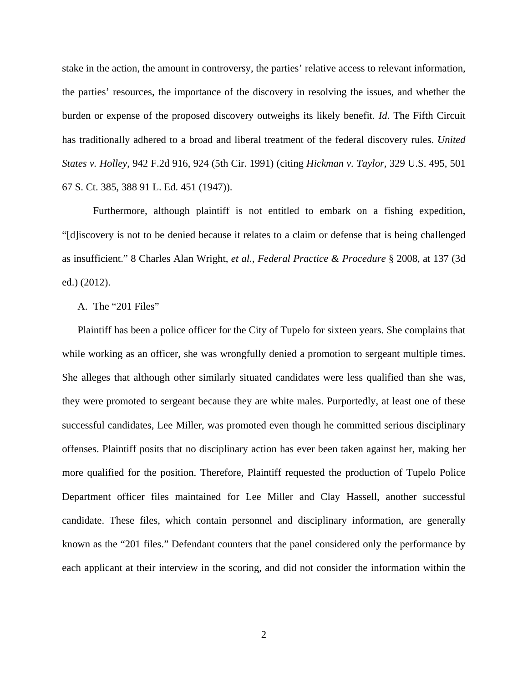stake in the action, the amount in controversy, the parties' relative access to relevant information, the parties' resources, the importance of the discovery in resolving the issues, and whether the burden or expense of the proposed discovery outweighs its likely benefit. *Id*. The Fifth Circuit has traditionally adhered to a broad and liberal treatment of the federal discovery rules. *United States v. Holley*, 942 F.2d 916, 924 (5th Cir. 1991) (citing *Hickman v. Taylor,* 329 U.S. 495, 501 67 S. Ct. 385, 388 91 L. Ed. 451 (1947)).

Furthermore, although plaintiff is not entitled to embark on a fishing expedition, "[d]iscovery is not to be denied because it relates to a claim or defense that is being challenged as insufficient." 8 Charles Alan Wright, *et al.*, *Federal Practice & Procedure* § 2008, at 137 (3d ed.) (2012).

### A. The "201 Files"

Plaintiff has been a police officer for the City of Tupelo for sixteen years. She complains that while working as an officer, she was wrongfully denied a promotion to sergeant multiple times. She alleges that although other similarly situated candidates were less qualified than she was, they were promoted to sergeant because they are white males. Purportedly, at least one of these successful candidates, Lee Miller, was promoted even though he committed serious disciplinary offenses. Plaintiff posits that no disciplinary action has ever been taken against her, making her more qualified for the position. Therefore, Plaintiff requested the production of Tupelo Police Department officer files maintained for Lee Miller and Clay Hassell, another successful candidate. These files, which contain personnel and disciplinary information, are generally known as the "201 files." Defendant counters that the panel considered only the performance by each applicant at their interview in the scoring, and did not consider the information within the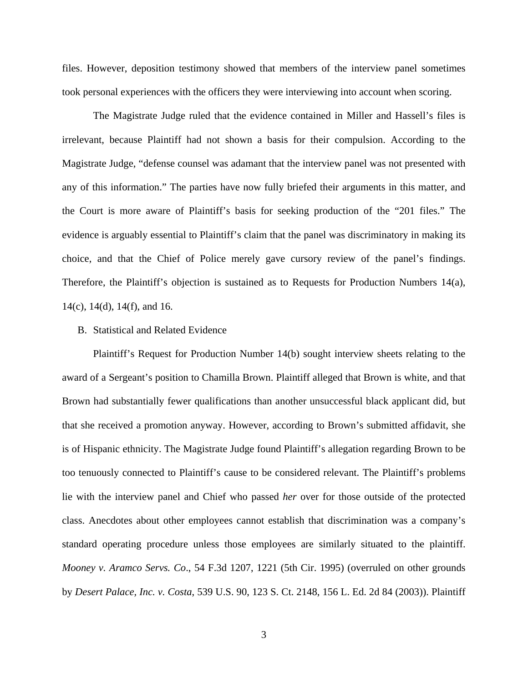files. However, deposition testimony showed that members of the interview panel sometimes took personal experiences with the officers they were interviewing into account when scoring.

The Magistrate Judge ruled that the evidence contained in Miller and Hassell's files is irrelevant, because Plaintiff had not shown a basis for their compulsion. According to the Magistrate Judge, "defense counsel was adamant that the interview panel was not presented with any of this information." The parties have now fully briefed their arguments in this matter, and the Court is more aware of Plaintiff's basis for seeking production of the "201 files." The evidence is arguably essential to Plaintiff's claim that the panel was discriminatory in making its choice, and that the Chief of Police merely gave cursory review of the panel's findings. Therefore, the Plaintiff's objection is sustained as to Requests for Production Numbers 14(a), 14(c), 14(d), 14(f), and 16.

## B. Statistical and Related Evidence

Plaintiff's Request for Production Number 14(b) sought interview sheets relating to the award of a Sergeant's position to Chamilla Brown. Plaintiff alleged that Brown is white, and that Brown had substantially fewer qualifications than another unsuccessful black applicant did, but that she received a promotion anyway. However, according to Brown's submitted affidavit, she is of Hispanic ethnicity. The Magistrate Judge found Plaintiff's allegation regarding Brown to be too tenuously connected to Plaintiff's cause to be considered relevant. The Plaintiff's problems lie with the interview panel and Chief who passed *her* over for those outside of the protected class. Anecdotes about other employees cannot establish that discrimination was a company's standard operating procedure unless those employees are similarly situated to the plaintiff. *Mooney v. Aramco Servs. Co*., 54 F.3d 1207, 1221 (5th Cir. 1995) (overruled on other grounds by *Desert Palace, Inc. v. Costa*, 539 U.S. 90, 123 S. Ct. 2148, 156 L. Ed. 2d 84 (2003)). Plaintiff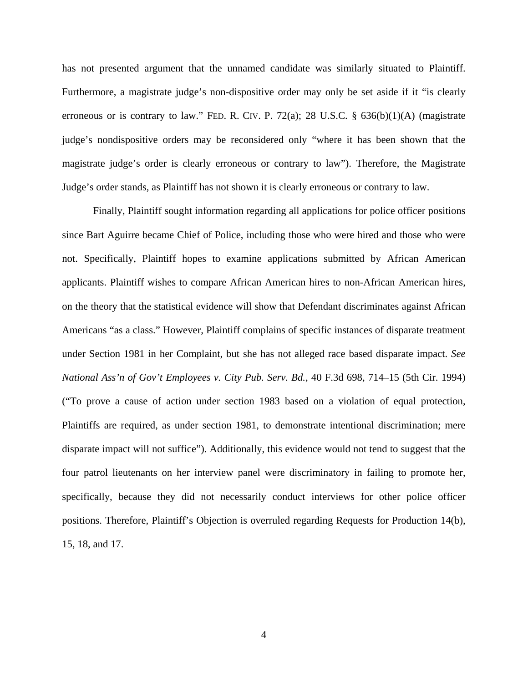has not presented argument that the unnamed candidate was similarly situated to Plaintiff. Furthermore, a magistrate judge's non-dispositive order may only be set aside if it "is clearly erroneous or is contrary to law." FED. R. CIV. P. 72(a); 28 U.S.C.  $\S$  636(b)(1)(A) (magistrate judge's nondispositive orders may be reconsidered only "where it has been shown that the magistrate judge's order is clearly erroneous or contrary to law"). Therefore, the Magistrate Judge's order stands, as Plaintiff has not shown it is clearly erroneous or contrary to law.

Finally, Plaintiff sought information regarding all applications for police officer positions since Bart Aguirre became Chief of Police, including those who were hired and those who were not. Specifically, Plaintiff hopes to examine applications submitted by African American applicants. Plaintiff wishes to compare African American hires to non-African American hires, on the theory that the statistical evidence will show that Defendant discriminates against African Americans "as a class." However, Plaintiff complains of specific instances of disparate treatment under Section 1981 in her Complaint, but she has not alleged race based disparate impact. *See National Ass'n of Gov't Employees v. City Pub. Serv. Bd.*, 40 F.3d 698, 714–15 (5th Cir. 1994) ("To prove a cause of action under section 1983 based on a violation of equal protection, Plaintiffs are required, as under section 1981, to demonstrate intentional discrimination; mere disparate impact will not suffice"). Additionally, this evidence would not tend to suggest that the four patrol lieutenants on her interview panel were discriminatory in failing to promote her, specifically, because they did not necessarily conduct interviews for other police officer positions. Therefore, Plaintiff's Objection is overruled regarding Requests for Production 14(b), 15, 18, and 17.